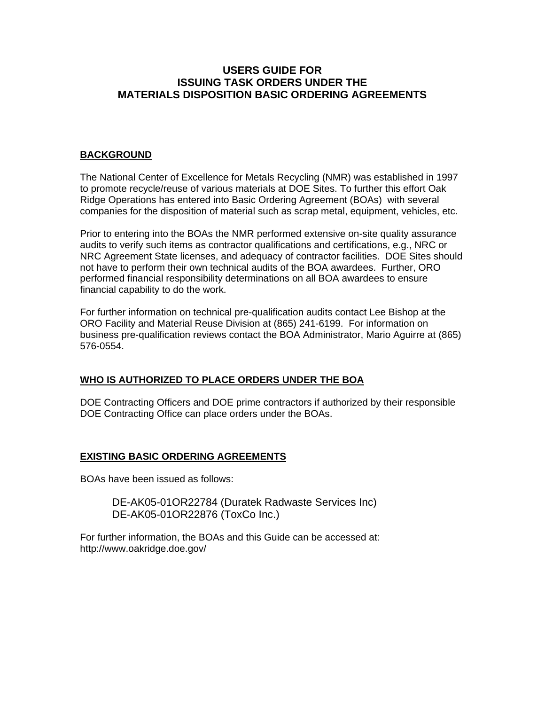# **USERS GUIDE FOR ISSUING TASK ORDERS UNDER THE MATERIALS DISPOSITION BASIC ORDERING AGREEMENTS**

### **BACKGROUND**

The National Center of Excellence for Metals Recycling (NMR) was established in 1997 to promote recycle/reuse of various materials at DOE Sites. To further this effort Oak Ridge Operations has entered into Basic Ordering Agreement (BOAs) with several companies for the disposition of material such as scrap metal, equipment, vehicles, etc.

Prior to entering into the BOAs the NMR performed extensive on-site quality assurance audits to verify such items as contractor qualifications and certifications, e.g., NRC or NRC Agreement State licenses, and adequacy of contractor facilities. DOE Sites should not have to perform their own technical audits of the BOA awardees. Further, ORO performed financial responsibility determinations on all BOA awardees to ensure financial capability to do the work.

For further information on technical pre-qualification audits contact Lee Bishop at the ORO Facility and Material Reuse Division at (865) 241-6199. For information on business pre-qualification reviews contact the BOA Administrator, Mario Aguirre at (865) 576-0554.

## **WHO IS AUTHORIZED TO PLACE ORDERS UNDER THE BOA**

DOE Contracting Officers and DOE prime contractors if authorized by their responsible DOE Contracting Office can place orders under the BOAs.

#### **EXISTING BASIC ORDERING AGREEMENTS**

BOAs have been issued as follows:

DE-AK05-01OR22784 (Duratek Radwaste Services Inc) DE-AK05-01OR22876 (ToxCo Inc.)

For further information, the BOAs and this Guide can be accessed at: http://www.oakridge.doe.gov/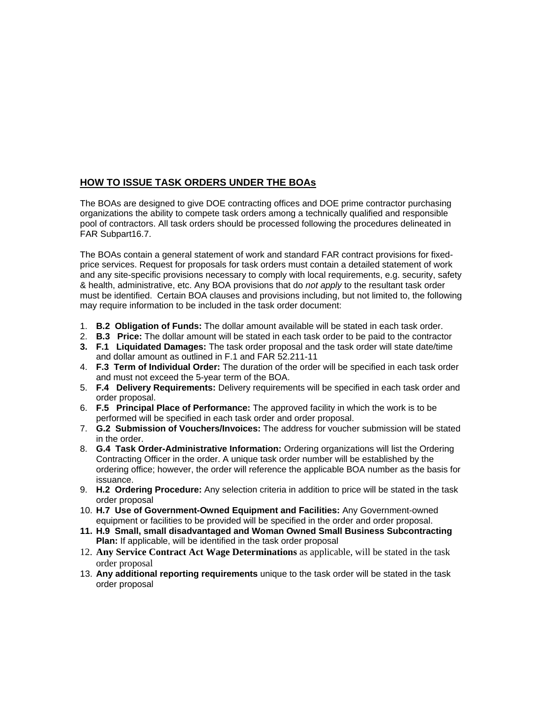# **HOW TO ISSUE TASK ORDERS UNDER THE BOAs**

The BOAs are designed to give DOE contracting offices and DOE prime contractor purchasing organizations the ability to compete task orders among a technically qualified and responsible pool of contractors. All task orders should be processed following the procedures delineated in FAR Subpart16.7.

The BOAs contain a general statement of work and standard FAR contract provisions for fixedprice services. Request for proposals for task orders must contain a detailed statement of work and any site-specific provisions necessary to comply with local requirements, e.g. security, safety & health, administrative, etc. Any BOA provisions that do *not apply* to the resultant task order must be identified. Certain BOA clauses and provisions including, but not limited to, the following may require information to be included in the task order document:

- 1. **B.2 Obligation of Funds:** The dollar amount available will be stated in each task order.
- 2. **B.3 Price:** The dollar amount will be stated in each task order to be paid to the contractor
- **3. F.1 Liquidated Damages:** The task order proposal and the task order will state date/time and dollar amount as outlined in F.1 and FAR 52.211-11
- 4. **F.3 Term of Individual Order:** The duration of the order will be specified in each task order and must not exceed the 5-year term of the BOA.
- 5. **F.4 Delivery Requirements:** Delivery requirements will be specified in each task order and order proposal.
- 6. **F.5 Principal Place of Performance:** The approved facility in which the work is to be performed will be specified in each task order and order proposal.
- 7. **G.2 Submission of Vouchers/Invoices:** The address for voucher submission will be stated in the order.
- 8. **G.4 Task Order-Administrative Information:** Ordering organizations will list the Ordering Contracting Officer in the order. A unique task order number will be established by the ordering office; however, the order will reference the applicable BOA number as the basis for issuance.
- 9. **H.2 Ordering Procedure:** Any selection criteria in addition to price will be stated in the task order proposal
- 10. **H.7 Use of Government-Owned Equipment and Facilities:** Any Government-owned equipment or facilities to be provided will be specified in the order and order proposal.
- **11. H.9 Small, small disadvantaged and Woman Owned Small Business Subcontracting Plan:** If applicable, will be identified in the task order proposal
- 12. **Any Service Contract Act Wage Determinations** as applicable, will be stated in the task order proposal
- 13. **Any additional reporting requirements** unique to the task order will be stated in the task order proposal